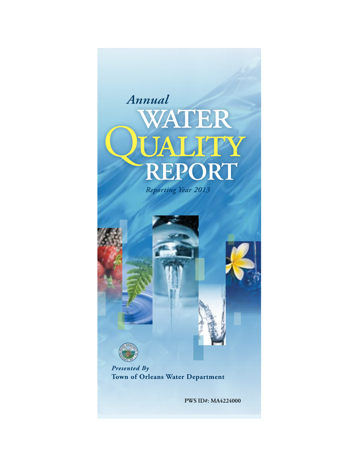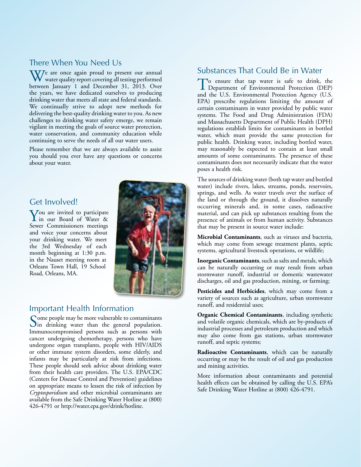## There When You Need Us

 $\frac{1}{\sqrt{2}}$  are once again proud to present our annual water quality report covering all testing performed between January 1 and December 31, 2013. Over the years, we have dedicated ourselves to producing drinking water that meets all state and federal standards. We continually strive to adopt new methods for delivering the best-quality drinking water to you. As new challenges to drinking water safety emerge, we remain vigilant in meeting the goals of source water protection, water conservation, and community education while continuing to serve the needs of all our water users.

Please remember that we are always available to assist you should you ever have any questions or concerns about your water.

## Get Involved!

You are invited to participate in our Board of Water & Sewer Commissioners meetings and voice your concerns about your drinking water. We meet the 3rd Wednesday of each month beginning at 1:30 p.m. in the Nauset meeting room at Orleans Town Hall, 19 School Road, Orleans, MA.

## Important Health Information

Some people may be more vulnerable to contaminants<br>in drinking water than the general population. Immunocompromised persons such as persons with cancer undergoing chemotherapy, persons who have undergone organ transplants, people with HIV/AIDS or other immune system disorders, some elderly, and infants may be particularly at risk from infections. These people should seek advice about drinking water from their health care providers. The U.S. EPA/CDC (Centers for Disease Control and Prevention) guidelines on appropriate means to lessen the risk of infection by *Cryptosporidium* and other microbial contaminants are available from the Safe Drinking Water Hotline at (800) 426-4791 or http://water.epa.gov/drink/hotline.

## Substances That Could Be in Water

To ensure that tap water is safe to drink, the Department of Environmental Protection (DEP) and the U.S. Environmental Protection Agency (U.S. EPA) prescribe regulations limiting the amount of certain contaminants in water provided by public water systems. The Food and Drug Administration (FDA) and Massachusetts Department of Public Health (DPH) regulations establish limits for contaminants in bottled water, which must provide the same protection for public health. Drinking water, including bottled water, may reasonably be expected to contain at least small amounts of some contaminants. The presence of these contaminants does not necessarily indicate that the water poses a health risk.

The sources of drinking water (both tap water and bottled water) include rivers, lakes, streams, ponds, reservoirs, springs, and wells. As water travels over the surface of the land or through the ground, it dissolves naturally occurring minerals and, in some cases, radioactive material, and can pick up substances resulting from the presence of animals or from human activity. Substances that may be present in source water include:

**Microbial Contaminants**, such as viruses and bacteria, which may come from sewage treatment plants, septic systems, agricultural livestock operations, or wildlife;

**Inorganic Contaminants**, such as salts and metals, which can be naturally occurring or may result from urban stormwater runoff, industrial or domestic wastewater discharges, oil and gas production, mining, or farming;

**Pesticides and Herbicides**, which may come from a variety of sources such as agriculture, urban stormwater runoff, and residential uses;

**Organic Chemical Contaminants**, including synthetic and volatile organic chemicals, which are by-products of industrial processes and petroleum production and which may also come from gas stations, urban stormwater runoff, and septic systems;

**Radioactive Contaminants**, which can be naturally occurring or may be the result of oil and gas production and mining activities.

More information about contaminants and potential health effects can be obtained by calling the U.S. EPA's Safe Drinking Water Hotline at (800) 426-4791.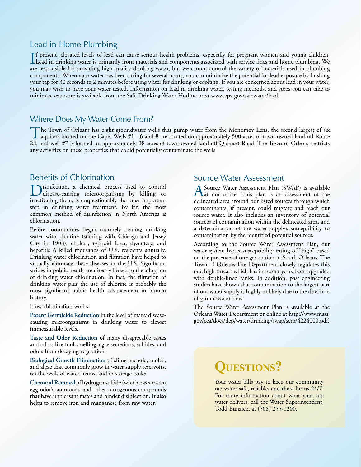## Lead in Home Plumbing

If present, elevated levels of lead can cause serious health problems, especially for pregnant women and young children.<br>Lead in drinking water is primarily from materials and components associated with service lines and h f present, elevated levels of lead can cause serious health problems, especially for pregnant women and young children. are responsible for providing high-quality drinking water, but we cannot control the variety of materials used in plumbing components. When your water has been sitting for several hours, you can minimize the potential for lead exposure by flushing your tap for 30 seconds to 2 minutes before using water for drinking or cooking. If you are concerned about lead in your water, you may wish to have your water tested. Information on lead in drinking water, testing methods, and steps you can take to minimize exposure is available from the Safe Drinking Water Hotline or at www.epa.gov/safewater/lead.

## Where Does My Water Come From?

The Town of Orleans has eight groundwater wells that pump water from the Monomoy Lens, the second largest of six<br>aquifers located on the Cape. Wells #1 - 6 and 8 are located on approximately 500 acres of town-owned land of 28, and well #7 is located on approximately 38 acres of town-owned land off Quanset Road. The Town of Orleans restricts any activities on these properties that could potentially contaminate the wells.

## Benefits of Chlorination

Disinfection, a chemical process used to control disease-causing microorganisms by killing or inactivating them, is unquestionably the most important step in drinking water treatment. By far, the most common method of disinfection in North America is chlorination.

Before communities began routinely treating drinking water with chlorine (starting with Chicago and Jersey City in 1908), cholera, typhoid fever, dysentery, and hepatitis A killed thousands of U.S. residents annually. Drinking water chlorination and filtration have helped to virtually eliminate these diseases in the U.S. Significant strides in public health are directly linked to the adoption of drinking water chlorination. In fact, the filtration of drinking water plus the use of chlorine is probably the most significant public health advancement in human history.

How chlorination works:

**Potent Germicide Reduction** in the level of many diseasecausing microorganisms in drinking water to almost immeasurable levels.

**Taste and Odor Reduction** of many disagreeable tastes and odors like foul-smelling algae secretions, sulfides, and odors from decaying vegetation.

**Biological Growth Elimination** of slime bacteria, molds, and algae that commonly grow in water supply reservoirs, on the walls of water mains, and in storage tanks.

**Chemical Removal** of hydrogen sulfide (which has a rotten egg odor), ammonia, and other nitrogenous compounds that have unpleasant tastes and hinder disinfection. It also helps to remove iron and manganese from raw water.

## Source Water Assessment

A Source Water Assessment Plan (SWAP) is available<br>
at our office. This plan is an assessment of the delineated area around our listed sources through which contaminants, if present, could migrate and reach our source water. It also includes an inventory of potential sources of contamination within the delineated area, and a determination of the water supply's susceptibility to contamination by the identified potential sources.

According to the Source Water Assessment Plan, our water system had a susceptibility rating of "high" based on the presence of one gas station in South Orleans. The Town of Orleans Fire Department closely regulates this one high threat, which has in recent years been upgraded with double-lined tanks. In addition, past engineering studies have shown that contamination to the largest part of our water supply is highly unlikely due to the direction of groundwater flow.

The Source Water Assessment Plan is available at the Orleans Water Department or online at http://www.mass. gov/eea/docs/dep/water/drinking/swap/sero/4224000.pdf.

# **QUESTIONS?**

Your water bills pay to keep our community tap water safe, reliable, and there for us 24/7. For more information about what your tap water delivers, call the Water Superintendent, Todd Bunzick, at (508) 255-1200.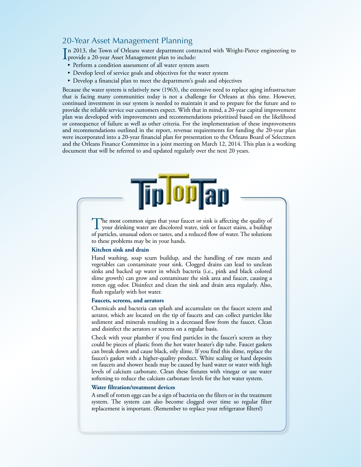## 20-Year Asset Management Planning

In 2013, the Town of Orleans water department cont<br>provide a 20-year Asset Management plan to include: n 2013, the Town of Orleans water department contracted with Wright-Pierce engineering to

- Perform a condition assessment of all water system assets
- Develop level of service goals and objectives for the water system
- Develop a financial plan to meet the department's goals and objectives

Because the water system is relatively new (1963), the extensive need to replace aging infrastructure that is facing many communities today is not a challenge for Orleans at this time. However, continued investment in our system is needed to maintain it and to prepare for the future and to provide the reliable service our customers expect. With that in mind, a 20-year capital improvement plan was developed with improvements and recommendations prioritized based on the likelihood or consequence of failure as well as other criteria. For the implementation of these improvements and recommendations outlined in the report, revenue requirements for funding the 20-year plan were incorporated into a 20-year financial plan for presentation to the Orleans Board of Selectmen and the Orleans Finance Committee in a joint meeting on March 12, 2014. This plan is a working document that will be referred to and updated regularly over the next 20 years.



The most common signs that your faucet or sink is affecting the quality of your drinking water are discolored water, sink or faucet stains, a buildup of particles, unusual odors or tastes, and a reduced flow of water. The solutions to these problems may be in your hands.

### **Kitchen sink and drain**

Hand washing, soap scum buildup, and the handling of raw meats and vegetables can contaminate your sink. Clogged drains can lead to unclean sinks and backed up water in which bacteria (i.e., pink and black colored slime growth) can grow and contaminate the sink area and faucet, causing a rotten egg odor. Disinfect and clean the sink and drain area regularly. Also, flush regularly with hot water.

### **Faucets, screens, and aerators**

Chemicals and bacteria can splash and accumulate on the faucet screen and aerator, which are located on the tip of faucets and can collect particles like sediment and minerals resulting in a decreased flow from the faucet. Clean and disinfect the aerators or screens on a regular basis.

Check with your plumber if you find particles in the faucet's screen as they could be pieces of plastic from the hot water heater's dip tube. Faucet gaskets can break down and cause black, oily slime. If you find this slime, replace the faucet's gasket with a higher-quality product. White scaling or hard deposits on faucets and shower heads may be caused by hard water or water with high levels of calcium carbonate. Clean these fixtures with vinegar or use water softening to reduce the calcium carbonate levels for the hot water system.

### **Water filtration/treatment devices**

A smell of rotten eggs can be a sign of bacteria on the filters or in the treatment system. The system can also become clogged over time so regular filter replacement is important. (Remember to replace your refrigerator filters!)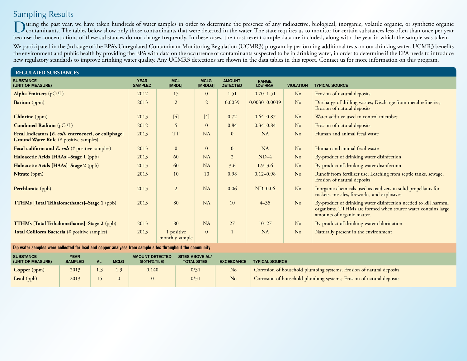## Sampling Results

During the past year, we have taken hundreds of water samples in order to determine the presence of any radioactive, biological, inorganic, volatile organic, or synthetic organic organic organic organic organic organic org because the concentrations of these substances do not change frequently. In these cases, the most recent sample data are included, along with the year in which the sample was taken.

We participated in the 3rd stage of the EPA's Unregulated Contaminant Monitoring Regulation (UCMR3) program by performing additional tests on our drinking water. UCMR3 benefits the environment and public health by providing the EPA with data on the occurrence of contaminants suspected to be in drinking water, in order to determine if the EPA needs to introduce new regulatory standards to improve drinking water quality. Any UCMR3 detections are shown in the data tables in this report. Contact us for more information on this program.

| <b>REGULATED SUBSTANCES</b>                                                                            |                               |                              |                        |                                  |                          |                  |                                                                                                                                                                |  |
|--------------------------------------------------------------------------------------------------------|-------------------------------|------------------------------|------------------------|----------------------------------|--------------------------|------------------|----------------------------------------------------------------------------------------------------------------------------------------------------------------|--|
| <b>SUBSTANCE</b><br>(UNIT OF MEASURE)                                                                  | <b>YEAR</b><br><b>SAMPLED</b> | <b>MCL</b><br>[MRDL]         | <b>MCLG</b><br>[MRDLG] | <b>AMOUNT</b><br><b>DETECTED</b> | <b>RANGE</b><br>LOW-HIGH | <b>VIOLATION</b> | <b>TYPICAL SOURCE</b>                                                                                                                                          |  |
| Alpha Emitters (pCi/L)                                                                                 | 2012                          | 15                           | $\Omega$               | 1.51                             | $0.70 - 1.51$            | No               | Erosion of natural deposits                                                                                                                                    |  |
| Barium (ppm)                                                                                           | 2013                          | $\overline{2}$               | $\overline{2}$         | 0.0039                           | $0.0030 - 0.0039$        | N <sub>o</sub>   | Discharge of drilling wastes; Discharge from metal refineries;<br>Erosion of natural deposits                                                                  |  |
| <b>Chlorine</b> (ppm)                                                                                  | 2013                          | $[4]$                        | $[4]$                  | 0.72                             | $0.64 - 0.87$            | No               | Water additive used to control microbes                                                                                                                        |  |
| <b>Combined Radium</b> (pCi/L)                                                                         | 2012                          | 5                            | $\overline{0}$         | 0.84                             | $0.34 - 0.84$            | N <sub>o</sub>   | Erosion of natural deposits                                                                                                                                    |  |
| Fecal Indicators [E. coli, enterococci, or coliphage]<br><b>Ground Water Rule</b> (# positive samples) | 2013                          | <b>TT</b>                    | <b>NA</b>              | $\mathbf{0}$                     | <b>NA</b>                | N <sub>o</sub>   | Human and animal fecal waste                                                                                                                                   |  |
| Fecal coliform and $E.$ coli (# positive samples)                                                      | 2013                          | $\mathbf{0}$                 | $\Omega$               | $\overline{0}$                   | <b>NA</b>                | No               | Human and animal fecal waste                                                                                                                                   |  |
| Haloacetic Acids [HAAs]-Stage 1 (ppb)                                                                  | 2013                          | 60                           | <b>NA</b>              | $\overline{2}$                   | $ND-4$                   | N <sub>o</sub>   | By-product of drinking water disinfection                                                                                                                      |  |
| Haloacetic Acids [HAAs]-Stage 2 (ppb)                                                                  | 2013                          | 60                           | <b>NA</b>              | 3.6                              | $1.9 - 3.6$              | No               | By-product of drinking water disinfection                                                                                                                      |  |
| Nitrate (ppm)                                                                                          | 2013                          | 10                           | 10                     | 0.98                             | $0.12 - 0.98$            | No               | Runoff from fertilizer use; Leaching from septic tanks, sewage;<br>Erosion of natural deposits                                                                 |  |
| Perchlorate (ppb)                                                                                      | 2013                          | 2                            | <b>NA</b>              | 0.06                             | $ND-0.06$                | No               | Inorganic chemicals used as oxidizers in solid propellants for<br>rockets, missiles, fireworks, and explosives                                                 |  |
| <b>TTHMs</b> [Total Trihalomethanes]-Stage 1 (ppb)                                                     | 2013                          | 80                           | <b>NA</b>              | 10                               | $4 - 35$                 | No               | By-product of drinking water disinfection needed to kill harmful<br>organisms. TTHMs are formed when source water contains large<br>amounts of organic matter. |  |
| <b>TTHMs</b> [Total Trihalomethanes]-Stage 2 (ppb)                                                     | 2013                          | 80                           | <b>NA</b>              | 27                               | $10 - 27$                | N <sub>o</sub>   | By-product of drinking water chlorination                                                                                                                      |  |
| <b>Total Coliform Bacteria</b> (# positive samples)                                                    | 2013                          | 1 positive<br>monthly sample | $\Omega$               |                                  | <b>NA</b>                | No               | Naturally present in the environment                                                                                                                           |  |

### **Tap water samples were collected for lead and copper analyses from sample sites throughout the community**

| <b>SUBSTANCE</b><br>(UNIT OF MEASURE) | <b>YEAR</b><br><b>SAMPLED</b> | <b>MCLG</b> | <b>AMOUNT DETECTED</b><br>$(90TH%$ TILE) | SITES ABOVE AL/<br><b>TOTAL SITES</b> | <b>EXCEEDANCE</b> | <b>TYPICAL SOURCE</b>                                                |
|---------------------------------------|-------------------------------|-------------|------------------------------------------|---------------------------------------|-------------------|----------------------------------------------------------------------|
| <b>Copper</b> (ppm)                   | 2013                          |             | 0.140                                    | 0/31                                  | N <sub>o</sub>    | Corrosion of household plumbing systems; Erosion of natural deposits |
| Lead (ppb)                            | 2013                          |             |                                          | 0/31                                  | No                | Corrosion of household plumbing systems; Erosion of natural deposits |
|                                       |                               |             |                                          |                                       |                   |                                                                      |